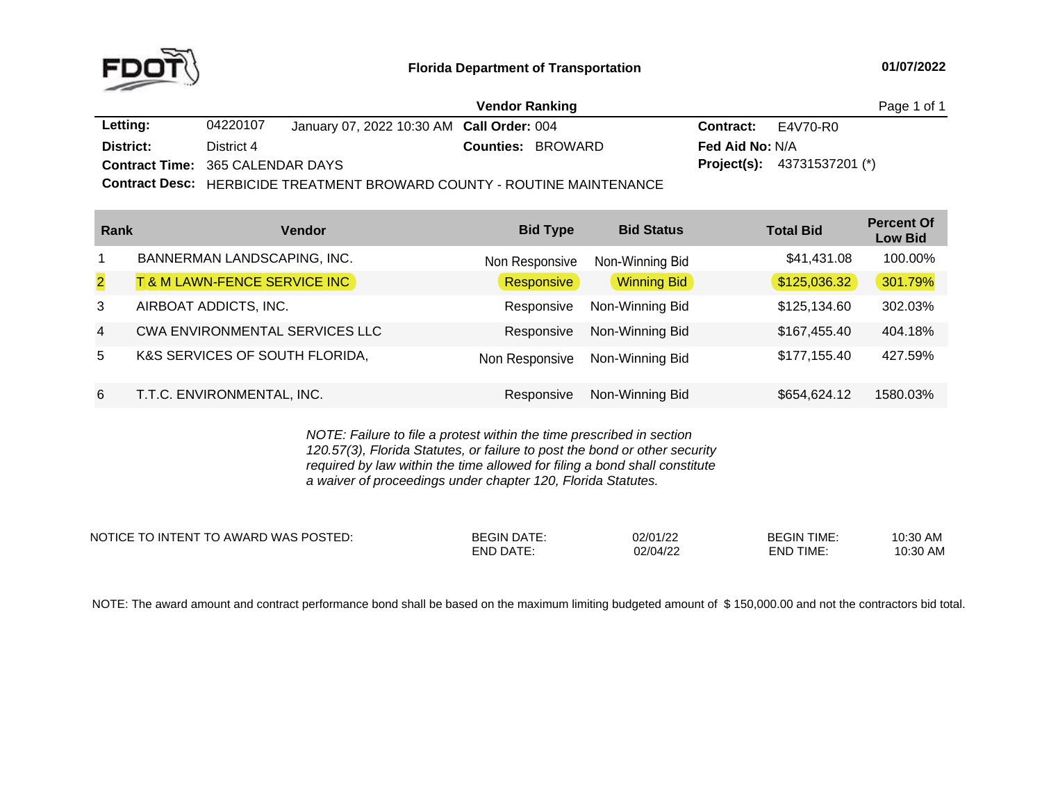

|                                         |            |                                           | <b>Vendor Ranking</b>                                                   |                           |                                    | Page 1 of 1 |
|-----------------------------------------|------------|-------------------------------------------|-------------------------------------------------------------------------|---------------------------|------------------------------------|-------------|
| Letting:                                | 04220107   | January 07, 2022 10:30 AM Call Order: 004 |                                                                         | <b>Contract:</b> E4V70-R0 |                                    |             |
| District:                               | District 4 |                                           | <b>Counties: BROWARD</b>                                                | <b>Fed Aid No: N/A</b>    |                                    |             |
| <b>Contract Time: 365 CALENDAR DAYS</b> |            |                                           |                                                                         |                           | <b>Project(s):</b> 43731537201 (*) |             |
|                                         |            |                                           | Contract Dose: LIEDDICIDE TOEATMENT DDOMADD COUNTY DOUTINE MAINITENANCE |                           |                                    |             |

**Contract Desc:** HERBICIDE TREATMENT BROWARD COUNTY - ROUTINE MAINTENANCE

| Rank           | <b>Vendor</b>                         | <b>Bid Type</b> | <b>Bid Status</b>  | <b>Total Bid</b> | <b>Percent Of</b><br><b>Low Bid</b> |
|----------------|---------------------------------------|-----------------|--------------------|------------------|-------------------------------------|
|                | BANNERMAN LANDSCAPING, INC.           | Non Responsive  | Non-Winning Bid    | \$41,431.08      | 100.00%                             |
| $\overline{2}$ | T& M LAWN-FENCE SERVICE INC           | Responsive      | <b>Winning Bid</b> | \$125,036.32     | 301.79%                             |
| 3              | AIRBOAT ADDICTS, INC.                 | Responsive      | Non-Winning Bid    | \$125,134.60     | 302.03%                             |
| $\overline{4}$ | <b>CWA ENVIRONMENTAL SERVICES LLC</b> | Responsive      | Non-Winning Bid    | \$167,455.40     | 404.18%                             |
| 5              | K&S SERVICES OF SOUTH FLORIDA,        | Non Responsive  | Non-Winning Bid    | \$177,155.40     | 427.59%                             |
| 6              | T.T.C. ENVIRONMENTAL, INC.            | Responsive      | Non-Winning Bid    | \$654,624.12     | 1580.03%                            |

*NOTE: Failure to file <sup>a</sup> protest within the time prescribed in section 120.57(3), Florida Statutes, or failure to post the bond or other security required by law within the time allowed for filing <sup>a</sup> bond shall constitute a waiver of proceedings under chapter 120, Florida Statutes.*

| NOTICE TO INTENT TO AWARD WAS POSTED: | <b>BEGIN DATE:</b> | 02/01/22 | <b>BEGIN TIME</b> | 10:30 AM |
|---------------------------------------|--------------------|----------|-------------------|----------|
|                                       | <b>END DATE:</b>   | 02/04/22 | END TIME.         | 10:30 AM |

NOTE: The award amount and contract performance bond shall be based on the maximum limiting budgeted amount of \$150,000.00 and not the contractors bid total.<br>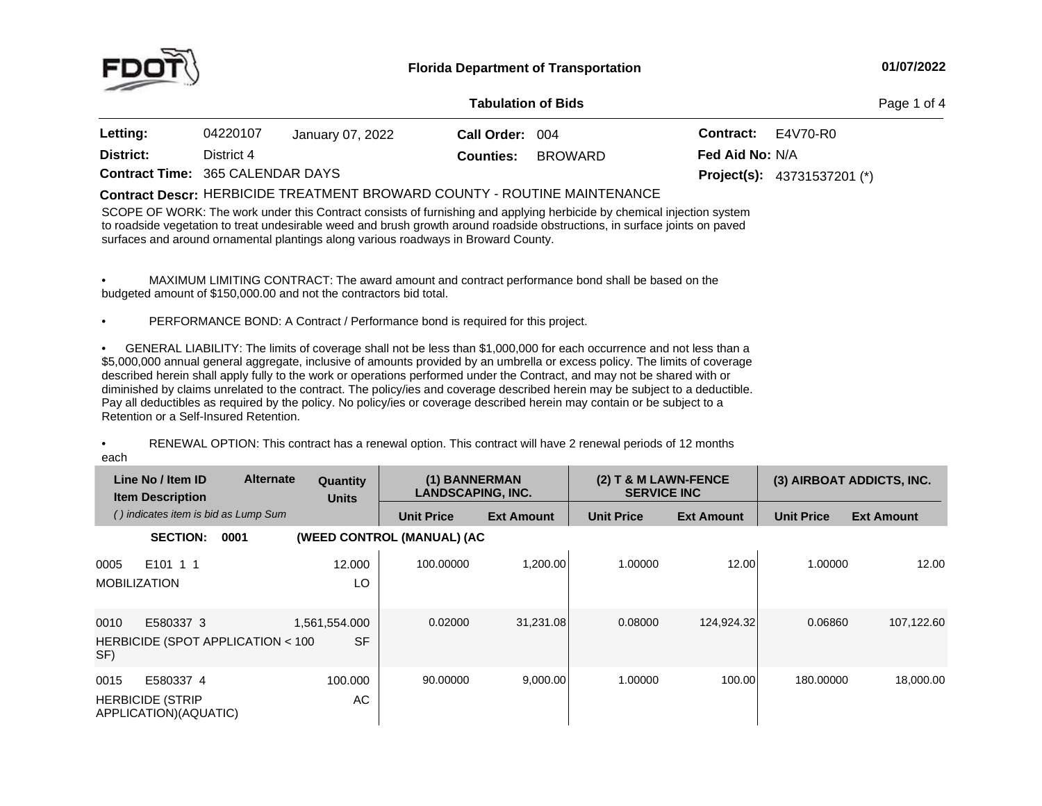

## **01/07/2022**

|                                         | <b>Tabulation of Bids</b><br>Page 1 of 4 |                  |                  |                |                        |                                      |
|-----------------------------------------|------------------------------------------|------------------|------------------|----------------|------------------------|--------------------------------------|
| Letting:                                | 04220107                                 | January 07, 2022 | Call Order: 004  |                | <b>Contract:</b>       | E4V70-R0                             |
| District:                               | District 4                               |                  | <b>Counties:</b> | <b>BROWARD</b> | <b>Fed Aid No: N/A</b> |                                      |
| <b>Contract Time: 365 CALENDAR DAYS</b> |                                          |                  |                  |                |                        | <b>Project(s):</b> $43731537201$ (*) |

## $\blacksquare$  LERBICIDE TREATMENT BROWARD COUNTY - ROUTINE MAINTENANCE

SCOPE OF WORK: The work under this Contract consists of furnishing and applying herbicide by chemical injection system<br>to as alside constation to tract underlinkly weed and have been the second seculidate betwettens, in su to roadside vegetation to treat undesirable weed and brush growth around roadside obstructions, in surface joints on paved surfaces and around ornamental plantings along various roadways in Broward County.

• MAXIMUM LIMITING CONTRACT: The award amount and contract performance bond shall be based on the budgeted amount of \$150,000.00 and not the contractors bid total.

•PERFORMANCE BOND: <sup>A</sup> Contract / Performance bond is required for this project.

• GENERAL LIABILITY: The limits of coverage shall not be less than \$1,000,000 for each occurrence and not less than a<br>
2008.000 for each occurrence and not less than \$5,000,000 annual general aggregate, inclusive of amounts provided by an umbrella or excess policy. The limits of coverage described herein shall apply fully to the work or operations performed under the Contract, and may not be shared with or diminished by claims unrelated to the contract. The policy/ies and coverage described herein may be subject to <sup>a</sup> deductible. Pay all deductibles as required by the policy. No policy/ies or coverage described herein may contain or be subject to <sup>a</sup> Retention or <sup>a</sup> Self-Insured Retention.

•• RENEWAL OPTION: This contract has a renewal option. This contract will have 2 renewal periods of 12 months each

|                             | Line No / Item ID<br><b>Item Description</b>                  | <b>Alternate</b>                  | <b>Quantity</b><br><b>Units</b> | (1) BANNERMAN<br><b>LANDSCAPING, INC.</b> |                   | $(2)$ T<br><b>SERVICE INC</b> | <b>8 M LAWN-FENCE</b> |                   | (3) AIRBOAT ADDICTS, INC. |
|-----------------------------|---------------------------------------------------------------|-----------------------------------|---------------------------------|-------------------------------------------|-------------------|-------------------------------|-----------------------|-------------------|---------------------------|
|                             | () indicates item is bid as Lump Sum                          |                                   |                                 | <b>Unit Price</b>                         | <b>Ext Amount</b> | <b>Unit Price</b>             | <b>Ext Amount</b>     | <b>Unit Price</b> | <b>Ext Amount</b>         |
|                             | <b>SECTION:</b>                                               | 0001                              |                                 | (WEED CONTROL (MANUAL) (AC                |                   |                               |                       |                   |                           |
| 0005<br><b>MOBILIZATION</b> | E101 1 1                                                      |                                   | 12.000<br>LO                    | 100.00000                                 | 1,200.00          | 1.00000                       | 12.00                 | 1.00000           | 12.00                     |
| 0010<br>SF)                 | E580337 3                                                     | HERBICIDE (SPOT APPLICATION < 100 | 1,561,554.000<br><b>SF</b>      | 0.02000                                   | 31,231.08         | 0.08000                       | 124,924.32            | 0.06860           | 107,122.60                |
| 0015                        | E580337 4<br><b>HERBICIDE (STRIP</b><br>APPLICATION)(AQUATIC) |                                   | 100.000<br>AC                   | 90.00000                                  | 9,000.00          | 1.00000                       | 100.00                | 180.00000         | 18,000.00                 |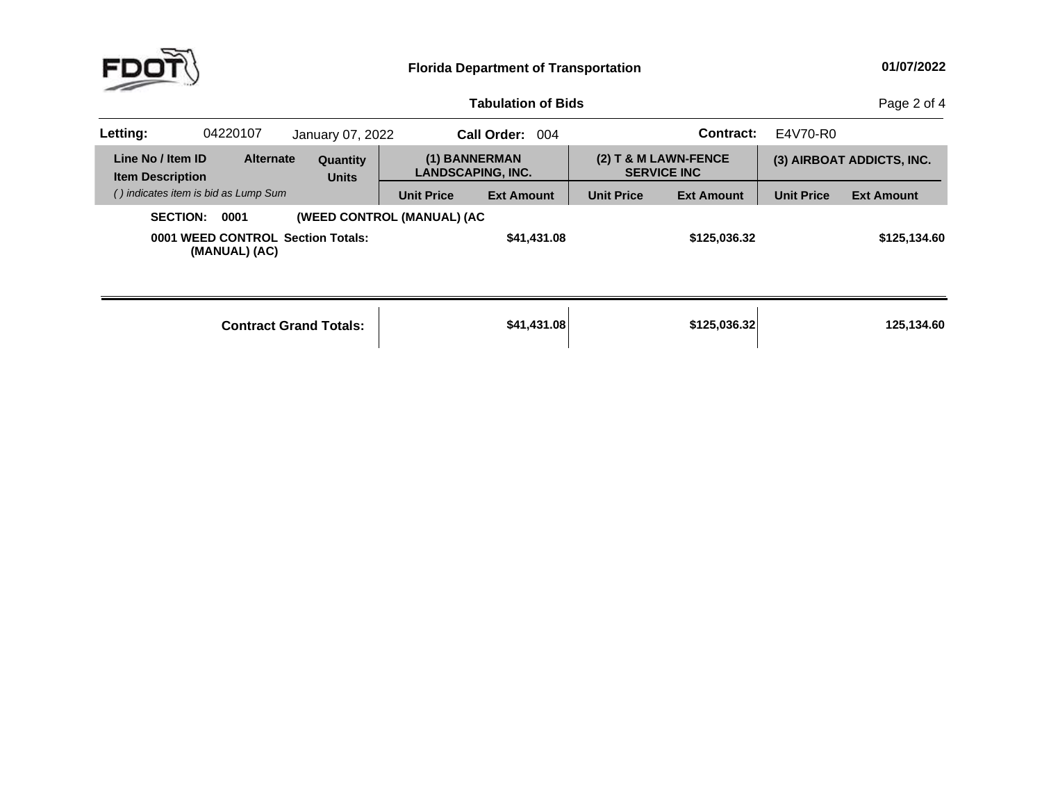

| <b>Tabulation of Bids</b> |  |
|---------------------------|--|
|                           |  |

**b Bids** Page 2 of 4

| Letting: | 04220107                                                         | January 07, 2022                |                            | <b>Call Order:</b><br>-004                |                   | Contract:                                    | E4V70-R0          |                           |
|----------|------------------------------------------------------------------|---------------------------------|----------------------------|-------------------------------------------|-------------------|----------------------------------------------|-------------------|---------------------------|
|          | Line No / Item ID<br><b>Alternate</b><br><b>Item Description</b> | <b>Quantity</b><br><b>Units</b> |                            | (1) BANNERMAN<br><b>LANDSCAPING, INC.</b> |                   | $(2)$ T & M LAWN-FENCE<br><b>SERVICE INC</b> |                   | (3) AIRBOAT ADDICTS, INC. |
|          | () indicates item is bid as Lump Sum                             |                                 | <b>Unit Price</b>          | <b>Ext Amount</b>                         | <b>Unit Price</b> | <b>Ext Amount</b>                            | <b>Unit Price</b> | <b>Ext Amount</b>         |
|          | <b>SECTION:</b><br>0001                                          |                                 | (WEED CONTROL (MANUAL) (AC |                                           |                   |                                              |                   |                           |
|          | 0001 WEED CONTROL Section Totals:<br>(MANUAL) (AC)               |                                 |                            | \$41,431.08                               |                   | \$125,036.32                                 |                   | \$125,134.60              |
|          |                                                                  |                                 |                            |                                           |                   |                                              |                   |                           |

| <b>Contract Grand Totals:</b> | \$41,431.08 | \$125,036,32 | 125,134.60 |
|-------------------------------|-------------|--------------|------------|
|                               |             |              |            |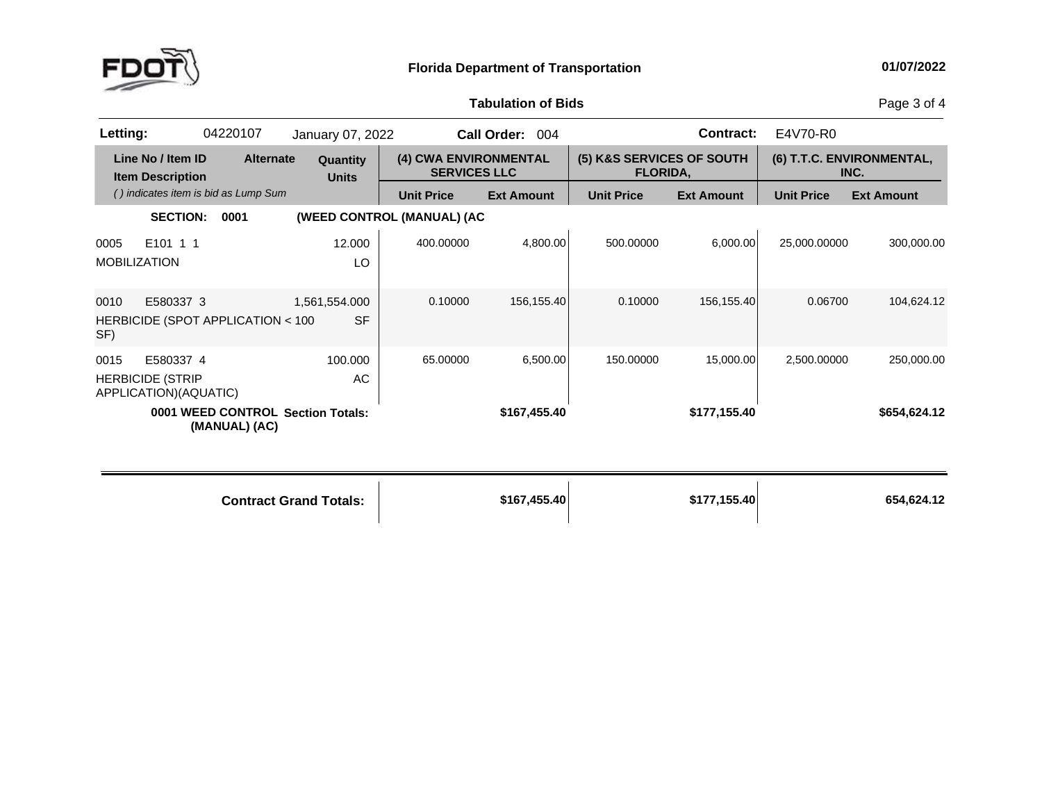

## **Tabulation**

Page 3 of 4

| Letting:    |                                                               | 04220107                             | January 07, 2022                  |                                              | Call Order: 004   |                                              | <b>Contract:</b>  | E4V70-R0          |                                   |
|-------------|---------------------------------------------------------------|--------------------------------------|-----------------------------------|----------------------------------------------|-------------------|----------------------------------------------|-------------------|-------------------|-----------------------------------|
|             | Line No / Item ID<br><b>Item Description</b>                  | <b>Alternate</b>                     | Quantity<br><b>Units</b>          | (4) CWA ENVIRONMENTAL<br><b>SERVICES LLC</b> |                   | (5) K&S SERVICES OF SOUTH<br><b>FLORIDA,</b> |                   |                   | (6) T.T.C. ENVIRONMENTAL,<br>INC. |
|             |                                                               | () indicates item is bid as Lump Sum |                                   | <b>Unit Price</b>                            | <b>Ext Amount</b> | <b>Unit Price</b>                            | <b>Ext Amount</b> | <b>Unit Price</b> | <b>Ext Amount</b>                 |
|             | <b>SECTION:</b>                                               | 0001                                 |                                   | (WEED CONTROL (MANUAL) (AC                   |                   |                                              |                   |                   |                                   |
| 0005        | E101 1 1<br><b>MOBILIZATION</b>                               |                                      | 12.000<br>LO                      | 400.00000                                    | 4,800.00          | 500.00000                                    | 6,000.00          | 25,000.00000      | 300,000.00                        |
| 0010<br>SF) | E580337 3                                                     | HERBICIDE (SPOT APPLICATION < 100    | 1,561,554.000<br><b>SF</b>        | 0.10000                                      | 156, 155.40       | 0.10000                                      | 156,155.40        | 0.06700           | 104,624.12                        |
| 0015        | E580337 4<br><b>HERBICIDE (STRIP</b><br>APPLICATION)(AQUATIC) |                                      | 100.000<br>AC                     | 65.00000                                     | 6,500.00          | 150.00000                                    | 15,000.00         | 2,500.00000       | 250,000.00                        |
|             |                                                               | (MANUAL) (AC)                        | 0001 WEED CONTROL Section Totals: |                                              | \$167,455.40      |                                              | \$177,155.40      |                   | \$654,624.12                      |
|             |                                                               |                                      | <b>Contract Grand Totals:</b>     |                                              | \$167,455.40      |                                              | \$177,155.40      |                   | 654,624.12                        |